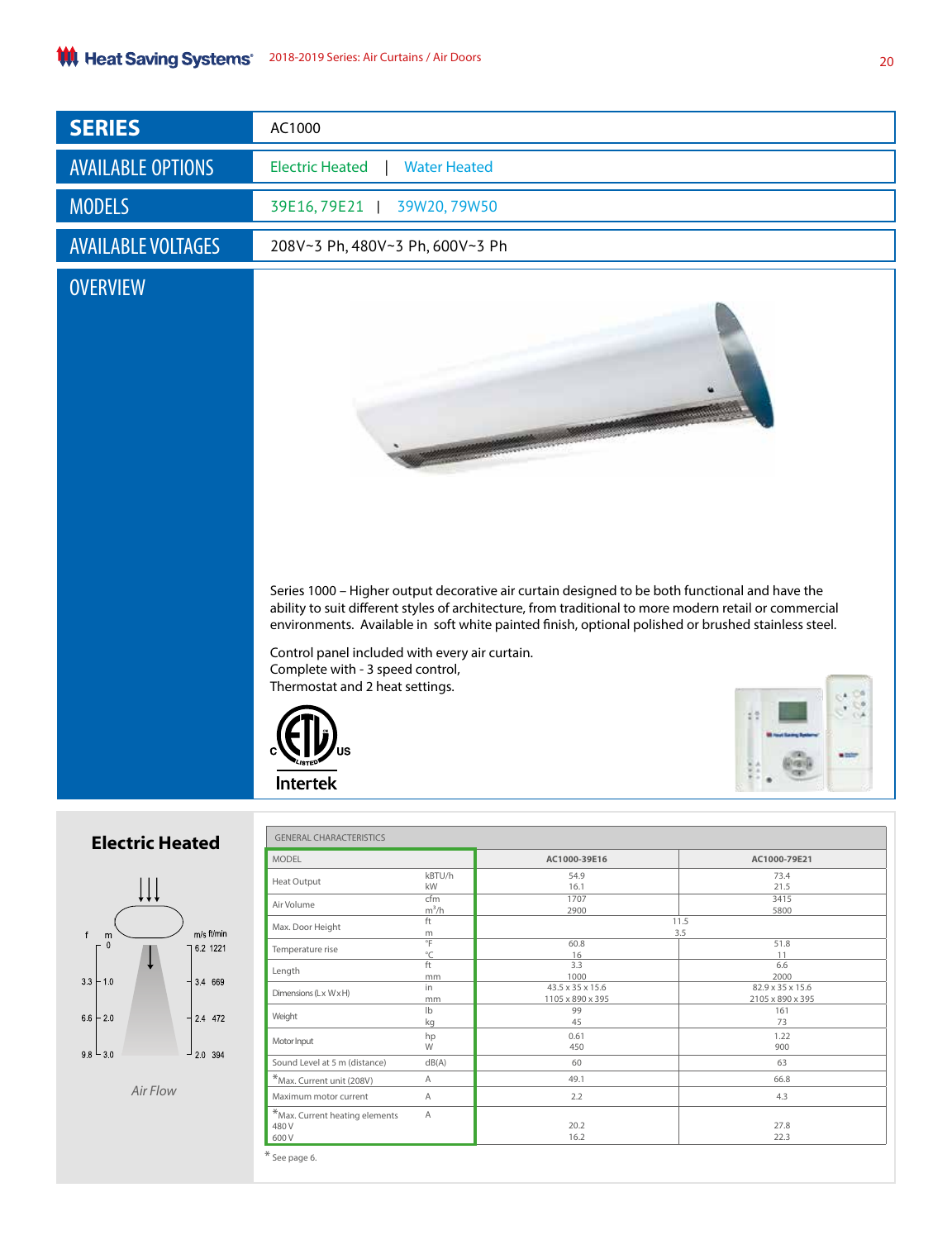| <b>SERIES</b>             | AC1000                                                                                                                                                                                                                                                                                                                                                                                                |  |  |  |  |
|---------------------------|-------------------------------------------------------------------------------------------------------------------------------------------------------------------------------------------------------------------------------------------------------------------------------------------------------------------------------------------------------------------------------------------------------|--|--|--|--|
| <b>AVAILABLE OPTIONS</b>  | <b>Electric Heated</b><br><b>Water Heated</b>                                                                                                                                                                                                                                                                                                                                                         |  |  |  |  |
| <b>MODELS</b>             | 39E16, 79E21<br>39W20, 79W50                                                                                                                                                                                                                                                                                                                                                                          |  |  |  |  |
| <b>AVAILABLE VOLTAGES</b> | 208V~3 Ph, 480V~3 Ph, 600V~3 Ph                                                                                                                                                                                                                                                                                                                                                                       |  |  |  |  |
| <b>OVERVIEW</b>           |                                                                                                                                                                                                                                                                                                                                                                                                       |  |  |  |  |
|                           | Series 1000 - Higher output decorative air curtain designed to be both functional and have the<br>ability to suit different styles of architecture, from traditional to more modern retail or commercial<br>environments. Available in soft white painted finish, optional polished or brushed stainless steel.<br>Control panel included with every air curtain.<br>Complete with - 3 speed control, |  |  |  |  |
|                           | Thermostat and 2 heat settings.<br>--<br><b>Intertek</b>                                                                                                                                                                                                                                                                                                                                              |  |  |  |  |

## **Electric Heated**



*Air Flow*

| <b>MODEL</b>                      |                | AC1000-39E16     | AC1000-79E21     |  |
|-----------------------------------|----------------|------------------|------------------|--|
|                                   |                |                  |                  |  |
| <b>Heat Output</b>                | kBTU/h         | 54.9             | 73.4             |  |
|                                   | kW             | 16.1             | 21.5             |  |
| Air Volume                        | cfm            | 1707             | 3415             |  |
|                                   | $m^3/h$        | 2900             | 5800             |  |
| Max. Door Height                  | ft             |                  | 11.5             |  |
|                                   | m              | 3.5              |                  |  |
| Temperature rise                  | $^{\circ}$ F   | 60.8             | 51.8             |  |
|                                   | °C<br>ft       | 16<br>3.3        | 11<br>6.6        |  |
| Length                            |                | 1000             | 2000             |  |
|                                   | mm<br>in       | 43.5 x 35 x 15.6 | 82.9 x 35 x 15.6 |  |
| Dimensions (Lx WxH)               | mm             | 1105 x 890 x 395 | 2105 x 890 x 395 |  |
|                                   | $\mathsf{lb}$  | 99               | 161              |  |
| Weight                            | kg             | 45               | 73               |  |
|                                   |                | 0.61             | 1.22             |  |
| Motor Input                       | hp<br>W        | 450              | 900              |  |
|                                   |                |                  |                  |  |
| Sound Level at 5 m (distance)     | dB(A)          | 60               | 63               |  |
| *Max. Current unit (208V)         | Α              | 49.1             | 66.8             |  |
| Maximum motor current             | A              | 2.2              | 4.3              |  |
| $*$ Max. Current heating elements | $\overline{A}$ |                  |                  |  |
| 480 V                             |                | 20.2             | 27.8             |  |
| 600V                              |                | 16.2             | 22.3             |  |

20